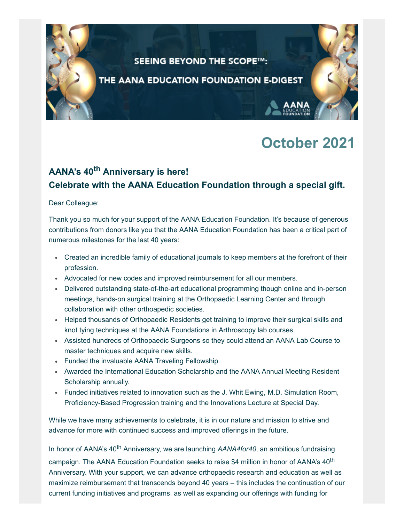# SEEING BEYOND THE SCOPE™: THE AANA EDUCATION FOUNDATION E-DIGEST

## **October 2021**

### **AANA's 40th Anniversary is here! Celebrate with the AANA Education Foundation through a special gift.**

#### Dear Colleague:

Thank you so much for your support of the AANA Education Foundation. It's because of generous contributions from donors like you that the AANA Education Foundation has been a critical part of numerous milestones for the last 40 years:

- Created an incredible family of educational journals to keep members at the forefront of their profession.
- Advocated for new codes and improved reimbursement for all our members.
- Delivered outstanding state-of-the-art educational programming though online and in-person meetings, hands-on surgical training at the Orthopaedic Learning Center and through collaboration with other orthoapedic societies.
- Helped thousands of Orthopaedic Residents get training to improve their surgical skills and knot tying techniques at the AANA Foundations in Arthroscopy lab courses.
- Assisted hundreds of Orthopaedic Surgeons so they could attend an AANA Lab Course to master techniques and acquire new skills.
- Funded the invaluable AANA Traveling Fellowship.
- Awarded the International Education Scholarship and the AANA Annual Meeting Resident Scholarship annually.
- Funded initiatives related to innovation such as the J. Whit Ewing, M.D. Simulation Room, Proficiency-Based Progression training and the Innovations Lecture at Special Day.

While we have many achievements to celebrate, it is in our nature and mission to strive and advance for more with continued success and improved offerings in the future.

In honor of AANA's 40<sup>th</sup> Anniversary, we are launching *AANA4for40*, an ambitious fundraising campaign. The AANA Education Foundation seeks to raise \$4 million in honor of AANA's 40<sup>th</sup> Anniversary. With your support, we can advance orthopaedic research and education as well as maximize reimbursement that transcends beyond 40 years – this includes the continuation of our current funding initiatives and programs, as well as expanding our offerings with funding for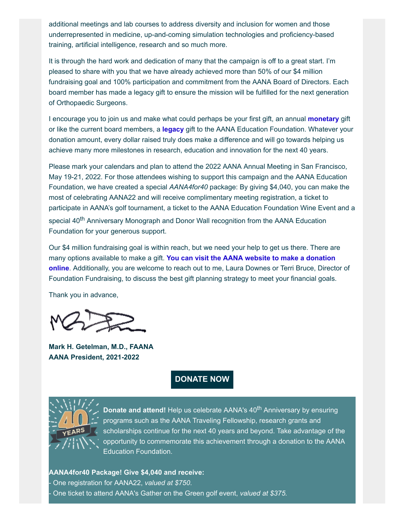additional meetings and lab courses to address diversity and inclusion for women and those underrepresented in medicine, up-and-coming simulation technologies and proficiency-based training, artificial intelligence, research and so much more.

It is through the hard work and dedication of many that the campaign is off to a great start. I'm pleased to share with you that we have already achieved more than 50% of our \$4 million fundraising goal and 100% participation and commitment from the AANA Board of Directors. Each board member has made a legacy gift to ensure the mission will be fulfilled for the next generation of Orthopaedic Surgeons.

I encourage you to join us and make what could perhaps be your first gift, an annual **[monetary](https://www.aana.org/aanaimis/Shared_Content/Fundraising/givenow-general.aspx?ItemId=40thanniv&WebsiteKey=10f6eed0-bcab-4019-8f57-18dad8aaf2d7)** gift or like the current board members, a **[legacy](https://www.aana.org/AANAIMIS/Members/Education_Foundation/Legacy-Giving/Members/Education-Foundation/Legacy-Giving.aspx?hkey=be808c5c-1323-40a5-814b-04d0db0d1614&WebsiteKey=10f6eed0-bcab-4019-8f57-18dad8aaf2d7)** gift to the AANA Education Foundation. Whatever your donation amount, every dollar raised truly does make a difference and will go towards helping us achieve many more milestones in research, education and innovation for the next 40 years.

Please mark your calendars and plan to attend the 2022 AANA Annual Meeting in San Francisco, May 19-21, 2022. For those attendees wishing to support this campaign and the AANA Education Foundation, we have created a special *AANA4for40* package: By giving \$4,040, you can make the most of celebrating AANA22 and will receive complimentary meeting registration, a ticket to participate in AANA's golf tournament, a ticket to the AANA Education Foundation Wine Event and a special 40<sup>th</sup> Anniversary Monograph and Donor Wall recognition from the AANA Education Foundation for your generous support.

Our \$4 million fundraising goal is within reach, but we need your help to get us there. There are many options available to make a gift. **You can visit the AANA website to make a donation online**[. Additionally, you are welcome to reach out to me, Laura Downes or Terri Bruce, Direct](https://www.aana.org/aanaimis/Shared_Content/Fundraising/givenow-general.aspx?ItemId=40thanniv&WebsiteKey=10f6eed0-bcab-4019-8f57-18dad8aaf2d7)or of Foundation Fundraising, to discuss the best gift planning strategy to meet your financial goals.

Thank you in advance,

**Mark H. Getelman, M.D., FAANA AANA President, 2021-2022**

**[DONATE NOW](https://www.aana.org/aanaimis/Shared_Content/Fundraising/givenow-general.aspx?ItemId=40thanniv&WebsiteKey=10f6eed0-bcab-4019-8f57-18dad8aaf2d7)**



**Donate and attend!** Help us celebrate AANA's 40<sup>th</sup> Anniversary by ensuring programs such as the AANA Traveling Fellowship, research grants and scholarships continue for the next 40 years and beyond. Take advantage of the opportunity to commemorate this achievement through a donation to the AANA Education Foundation.

**AANA4for40 Package! Give \$4,040 and receive:** - One registration for AANA22, *valued at \$750*. - One ticket to attend AANA's Gather on the Green golf event, *valued at \$375.*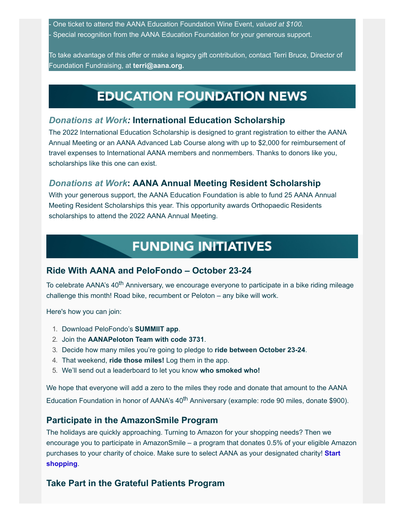One ticket to attend the AANA Education Foundation Wine Event, *valued at \$100.* Special recognition from the AANA Education Foundation for your generous support.

To take advantage of this offer or make a legacy gift contribution, contact Terri Bruce, Director of Foundation Fundraising, at **[terri@aana.org.](mailto:terri@aana.org?subject=AANA4for40%20Package)**

## **EDUCATION FOUNDATION NEWS**

#### *Donations at Work:* **[International Education Scholarship](https://www.aana.org/AANAIMIS/Members/Education/International_Education_Scholarship/Members/Education/International-Education-Scholarship.aspx?hkey=3f88edba-3baf-40c8-adde-e92b682f3339&WebsiteKey=10f6eed0-bcab-4019-8f57-18dad8aaf2d7&_zs=bTdLX&_zl=1KSm2)**

The 2022 International Education Scholarship is designed to grant registration to either the AANA Annual Meeting or an AANA Advanced Lab Course along with up to \$2,000 for reimbursement of travel expenses to International AANA members and nonmembers. Thanks to donors like you, scholarships like this one can exist.

#### *Donations at Work***: [AANA Annual Meeting Resident Scholarship](https://www.aana.org/AANAIMIS/Members/Education/Annual_Meeting_Resident_Scholarship/Members/Education/annual-meeting.aspx?hkey=d21fa04a-a38b-4b9b-b335-6ddc9300c231&WebsiteKey=10f6eed0-bcab-4019-8f57-18dad8aaf2d7)**

With your generous support, the AANA Education Foundation is able to fund 25 AANA Annual Meeting Resident Scholarships this year. This opportunity awards Orthopaedic Residents scholarships to attend the 2022 AANA Annual Meeting.

## **FUNDING INITIATIVES**

#### **Ride With AANA and PeloFondo – October 23-24**

To celebrate AANA's 40<sup>th</sup> Anniversary, we encourage everyone to participate in a bike riding mileage challenge this month! Road bike, recumbent or Peloton – any bike will work.

Here's how you can join:

- 1. Download PeloFondo's **SUMMIIT app**.
- 2. Join the **AANAPeloton Team with code 3731**.
- 3. Decide how many miles you're going to pledge to **ride between October 23-24**.
- 4. That weekend, **ride those miles!** Log them in the app.
- 5. We'll send out a leaderboard to let you know **who smoked who!**

We hope that everyone will add a zero to the miles they rode and donate that amount to the AANA Education Foundation in honor of AANA's 40<sup>th</sup> Anniversary (example: rode 90 miles, donate \$900).

#### **[Participate in the AmazonSmile Program](https://smile.amazon.com/gp/chpf/homepage/ref=smi_chpf_redirect?ie=UTF8&ein=36-3166049&ref_=smi_ext_ch_36-3166049_cl)**

The holidays are quickly approaching. Turning to Amazon for your shopping needs? Then we encourage you to participate in AmazonSmile – a program that donates 0.5% of your eligible Amazon [purchases to your charity of choice. Make sure to select AANA as your designated charity!](https://smile.amazon.com/gp/chpf/homepage/ref=smi_chpf_redirect?ie=UTF8&ein=36-3166049&ref_=smi_ext_ch_36-3166049_cl) **Start shopping**.

#### **[Take Part in the Grateful Patients Program](https://www.aana.org/AANAIMIS/Members/Education_Foundation/Grateful_Patients_Program/Members/Education-Foundation/Grateful_Patients_Program.aspx?hkey=5095b856-9eed-4b13-8073-e27fbe7233ea&WebsiteKey=10f6eed0-bcab-4019-8f57-18dad8aaf2d7)**